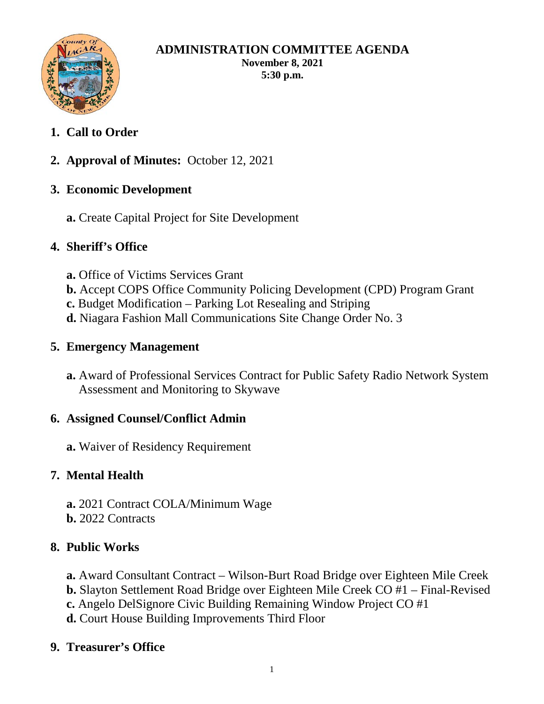

#### **ADMINISTRATION COMMITTEE AGENDA November 8, 2021 5:30 p.m.**

# **1. Call to Order**

**2. Approval of Minutes:** October 12, 2021

## **3. Economic Development**

**a.** Create Capital Project for Site Development

## **4. Sheriff's Office**

- **a.** Office of Victims Services Grant
- **b.** Accept COPS Office Community Policing Development (CPD) Program Grant
- **c.** Budget Modification Parking Lot Resealing and Striping
- **d.** Niagara Fashion Mall Communications Site Change Order No. 3

## **5. Emergency Management**

**a.** Award of Professional Services Contract for Public Safety Radio Network System Assessment and Monitoring to Skywave

#### **6. Assigned Counsel/Conflict Admin**

**a.** Waiver of Residency Requirement

# **7. Mental Health**

**a.** 2021 Contract COLA/Minimum Wage **b.** 2022 Contracts

# **8. Public Works**

- **a.** Award Consultant Contract Wilson-Burt Road Bridge over Eighteen Mile Creek
- **b.** Slayton Settlement Road Bridge over Eighteen Mile Creek CO #1 Final-Revised
- **c.** Angelo DelSignore Civic Building Remaining Window Project CO #1
- **d.** Court House Building Improvements Third Floor

# **9. Treasurer's Office**